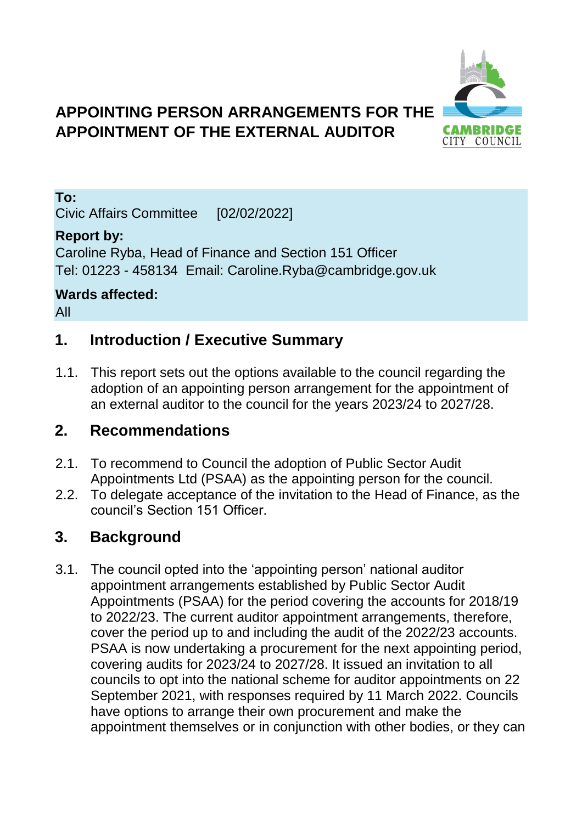# **APPOINTING PERSON ARRANGEMENTS FOR THE APPOINTMENT OF THE EXTERNAL AUDITOR**



**To:**

Civic Affairs Committee [02/02/2022]

#### **Report by:**

Caroline Ryba, Head of Finance and Section 151 Officer Tel: 01223 - 458134 Email: Caroline.Ryba@cambridge.gov.uk

# **Wards affected:**

All

#### **1. Introduction / Executive Summary**

1.1. This report sets out the options available to the council regarding the adoption of an appointing person arrangement for the appointment of an external auditor to the council for the years 2023/24 to 2027/28.

#### **2. Recommendations**

- 2.1. To recommend to Council the adoption of Public Sector Audit Appointments Ltd (PSAA) as the appointing person for the council.
- 2.2. To delegate acceptance of the invitation to the Head of Finance, as the council's Section 151 Officer.

### **3. Background**

3.1. The council opted into the 'appointing person' national auditor appointment arrangements established by Public Sector Audit Appointments (PSAA) for the period covering the accounts for 2018/19 to 2022/23. The current auditor appointment arrangements, therefore, cover the period up to and including the audit of the 2022/23 accounts. PSAA is now undertaking a procurement for the next appointing period, covering audits for 2023/24 to 2027/28. It issued an invitation to all councils to opt into the national scheme for auditor appointments on 22 September 2021, with responses required by 11 March 2022. Councils have options to arrange their own procurement and make the appointment themselves or in conjunction with other bodies, or they can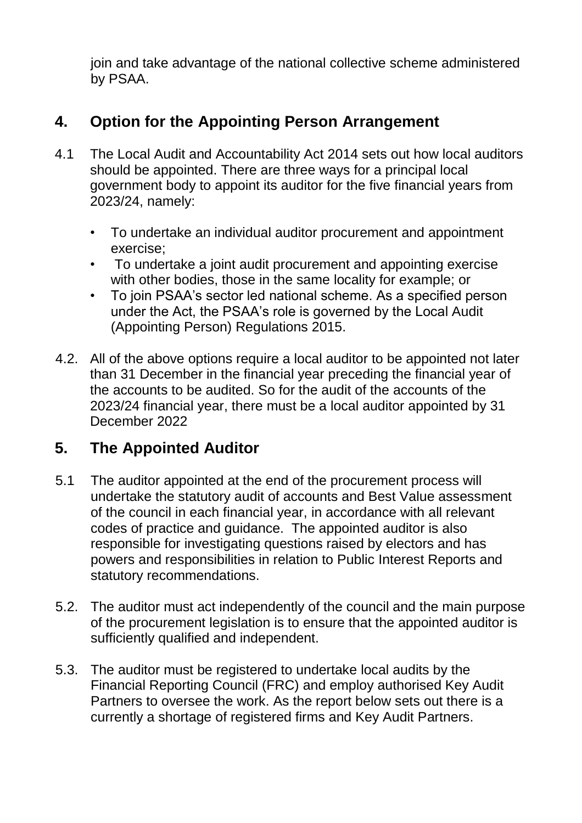join and take advantage of the national collective scheme administered by PSAA.

## **4. Option for the Appointing Person Arrangement**

- 4.1 The Local Audit and Accountability Act 2014 sets out how local auditors should be appointed. There are three ways for a principal local government body to appoint its auditor for the five financial years from 2023/24, namely:
	- To undertake an individual auditor procurement and appointment exercise;
	- To undertake a joint audit procurement and appointing exercise with other bodies, those in the same locality for example; or
	- To join PSAA's sector led national scheme. As a specified person under the Act, the PSAA's role is governed by the Local Audit (Appointing Person) Regulations 2015.
- 4.2. All of the above options require a local auditor to be appointed not later than 31 December in the financial year preceding the financial year of the accounts to be audited. So for the audit of the accounts of the 2023/24 financial year, there must be a local auditor appointed by 31 December 2022

#### **5. The Appointed Auditor**

- 5.1 The auditor appointed at the end of the procurement process will undertake the statutory audit of accounts and Best Value assessment of the council in each financial year, in accordance with all relevant codes of practice and guidance. The appointed auditor is also responsible for investigating questions raised by electors and has powers and responsibilities in relation to Public Interest Reports and statutory recommendations.
- 5.2. The auditor must act independently of the council and the main purpose of the procurement legislation is to ensure that the appointed auditor is sufficiently qualified and independent.
- 5.3. The auditor must be registered to undertake local audits by the Financial Reporting Council (FRC) and employ authorised Key Audit Partners to oversee the work. As the report below sets out there is a currently a shortage of registered firms and Key Audit Partners.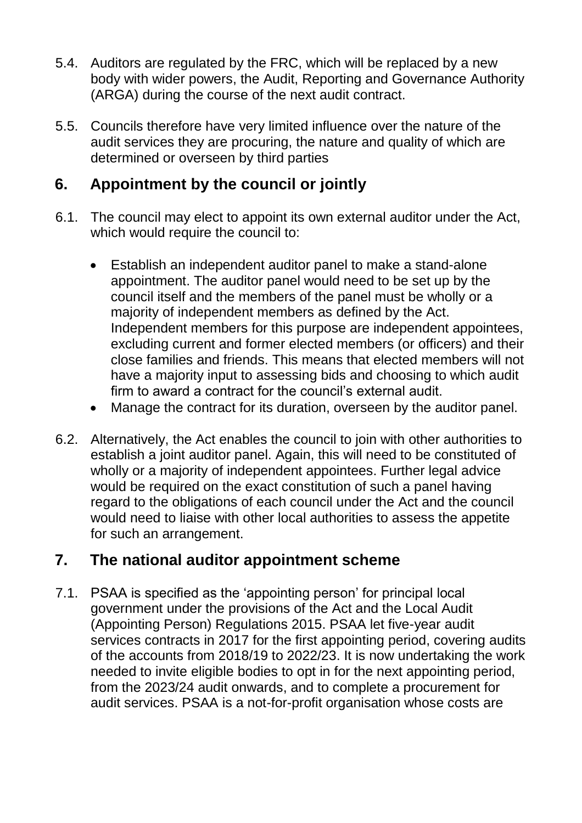- 5.4. Auditors are regulated by the FRC, which will be replaced by a new body with wider powers, the Audit, Reporting and Governance Authority (ARGA) during the course of the next audit contract.
- 5.5. Councils therefore have very limited influence over the nature of the audit services they are procuring, the nature and quality of which are determined or overseen by third parties

### **6. Appointment by the council or jointly**

- 6.1. The council may elect to appoint its own external auditor under the Act, which would require the council to:
	- Establish an independent auditor panel to make a stand-alone appointment. The auditor panel would need to be set up by the council itself and the members of the panel must be wholly or a majority of independent members as defined by the Act. Independent members for this purpose are independent appointees, excluding current and former elected members (or officers) and their close families and friends. This means that elected members will not have a majority input to assessing bids and choosing to which audit firm to award a contract for the council's external audit.
	- Manage the contract for its duration, overseen by the auditor panel.
- 6.2. Alternatively, the Act enables the council to join with other authorities to establish a joint auditor panel. Again, this will need to be constituted of wholly or a majority of independent appointees. Further legal advice would be required on the exact constitution of such a panel having regard to the obligations of each council under the Act and the council would need to liaise with other local authorities to assess the appetite for such an arrangement.

#### **7. The national auditor appointment scheme**

7.1. PSAA is specified as the 'appointing person' for principal local government under the provisions of the Act and the Local Audit (Appointing Person) Regulations 2015. PSAA let five-year audit services contracts in 2017 for the first appointing period, covering audits of the accounts from 2018/19 to 2022/23. It is now undertaking the work needed to invite eligible bodies to opt in for the next appointing period, from the 2023/24 audit onwards, and to complete a procurement for audit services. PSAA is a not-for-profit organisation whose costs are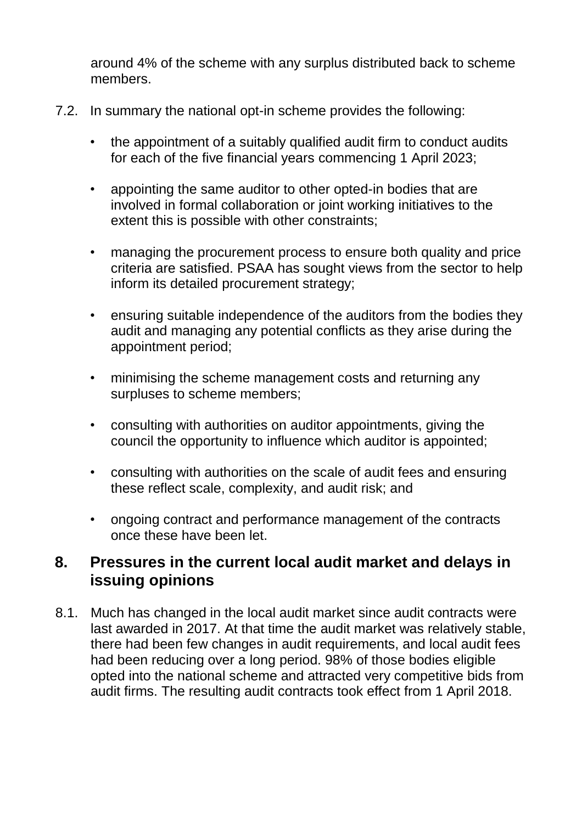around 4% of the scheme with any surplus distributed back to scheme members.

- 7.2. In summary the national opt-in scheme provides the following:
	- the appointment of a suitably qualified audit firm to conduct audits for each of the five financial years commencing 1 April 2023;
	- appointing the same auditor to other opted-in bodies that are involved in formal collaboration or joint working initiatives to the extent this is possible with other constraints;
	- managing the procurement process to ensure both quality and price criteria are satisfied. PSAA has sought views from the sector to help inform its detailed procurement strategy;
	- ensuring suitable independence of the auditors from the bodies they audit and managing any potential conflicts as they arise during the appointment period;
	- minimising the scheme management costs and returning any surpluses to scheme members;
	- consulting with authorities on auditor appointments, giving the council the opportunity to influence which auditor is appointed;
	- consulting with authorities on the scale of audit fees and ensuring these reflect scale, complexity, and audit risk; and
	- ongoing contract and performance management of the contracts once these have been let.

#### **8. Pressures in the current local audit market and delays in issuing opinions**

8.1. Much has changed in the local audit market since audit contracts were last awarded in 2017. At that time the audit market was relatively stable, there had been few changes in audit requirements, and local audit fees had been reducing over a long period. 98% of those bodies eligible opted into the national scheme and attracted very competitive bids from audit firms. The resulting audit contracts took effect from 1 April 2018.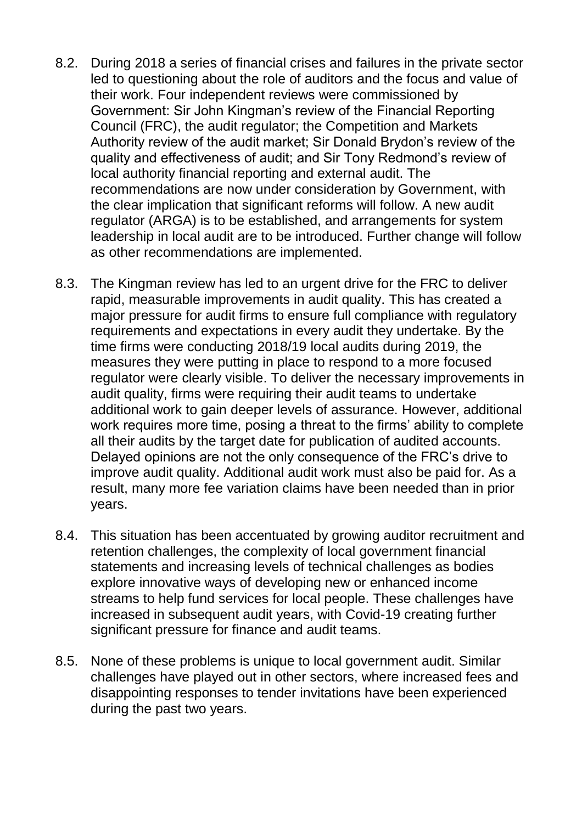- 8.2. During 2018 a series of financial crises and failures in the private sector led to questioning about the role of auditors and the focus and value of their work. Four independent reviews were commissioned by Government: Sir John Kingman's review of the Financial Reporting Council (FRC), the audit regulator; the Competition and Markets Authority review of the audit market; Sir Donald Brydon's review of the quality and effectiveness of audit; and Sir Tony Redmond's review of local authority financial reporting and external audit. The recommendations are now under consideration by Government, with the clear implication that significant reforms will follow. A new audit regulator (ARGA) is to be established, and arrangements for system leadership in local audit are to be introduced. Further change will follow as other recommendations are implemented.
- 8.3. The Kingman review has led to an urgent drive for the FRC to deliver rapid, measurable improvements in audit quality. This has created a major pressure for audit firms to ensure full compliance with regulatory requirements and expectations in every audit they undertake. By the time firms were conducting 2018/19 local audits during 2019, the measures they were putting in place to respond to a more focused regulator were clearly visible. To deliver the necessary improvements in audit quality, firms were requiring their audit teams to undertake additional work to gain deeper levels of assurance. However, additional work requires more time, posing a threat to the firms' ability to complete all their audits by the target date for publication of audited accounts. Delayed opinions are not the only consequence of the FRC's drive to improve audit quality. Additional audit work must also be paid for. As a result, many more fee variation claims have been needed than in prior years.
- 8.4. This situation has been accentuated by growing auditor recruitment and retention challenges, the complexity of local government financial statements and increasing levels of technical challenges as bodies explore innovative ways of developing new or enhanced income streams to help fund services for local people. These challenges have increased in subsequent audit years, with Covid-19 creating further significant pressure for finance and audit teams.
- 8.5. None of these problems is unique to local government audit. Similar challenges have played out in other sectors, where increased fees and disappointing responses to tender invitations have been experienced during the past two years.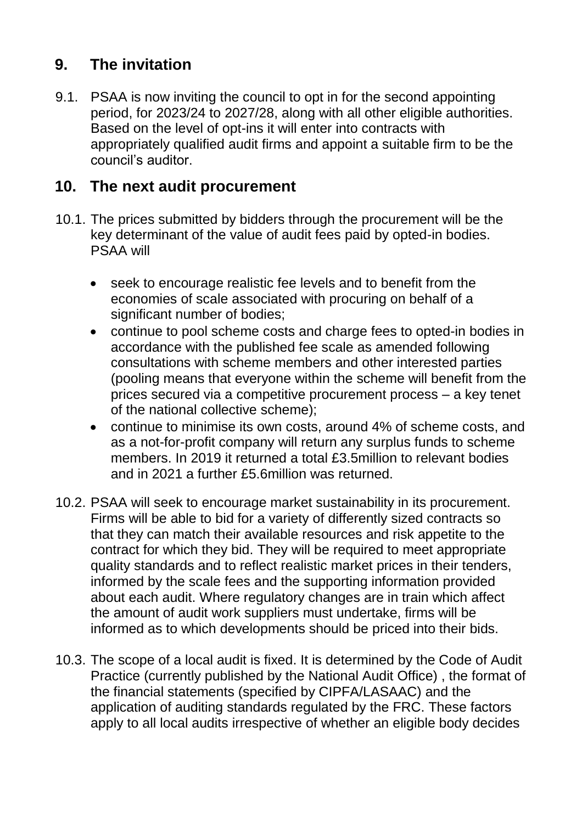# **9. The invitation**

9.1. PSAA is now inviting the council to opt in for the second appointing period, for 2023/24 to 2027/28, along with all other eligible authorities. Based on the level of opt-ins it will enter into contracts with appropriately qualified audit firms and appoint a suitable firm to be the council's auditor.

#### **10. The next audit procurement**

- 10.1. The prices submitted by bidders through the procurement will be the key determinant of the value of audit fees paid by opted-in bodies. PSAA will
	- seek to encourage realistic fee levels and to benefit from the economies of scale associated with procuring on behalf of a significant number of bodies;
	- continue to pool scheme costs and charge fees to opted-in bodies in accordance with the published fee scale as amended following consultations with scheme members and other interested parties (pooling means that everyone within the scheme will benefit from the prices secured via a competitive procurement process – a key tenet of the national collective scheme);
	- continue to minimise its own costs, around 4% of scheme costs, and as a not-for-profit company will return any surplus funds to scheme members. In 2019 it returned a total £3.5million to relevant bodies and in 2021 a further £5.6million was returned.
- 10.2. PSAA will seek to encourage market sustainability in its procurement. Firms will be able to bid for a variety of differently sized contracts so that they can match their available resources and risk appetite to the contract for which they bid. They will be required to meet appropriate quality standards and to reflect realistic market prices in their tenders, informed by the scale fees and the supporting information provided about each audit. Where regulatory changes are in train which affect the amount of audit work suppliers must undertake, firms will be informed as to which developments should be priced into their bids.
- 10.3. The scope of a local audit is fixed. It is determined by the Code of Audit Practice (currently published by the National Audit Office) , the format of the financial statements (specified by CIPFA/LASAAC) and the application of auditing standards regulated by the FRC. These factors apply to all local audits irrespective of whether an eligible body decides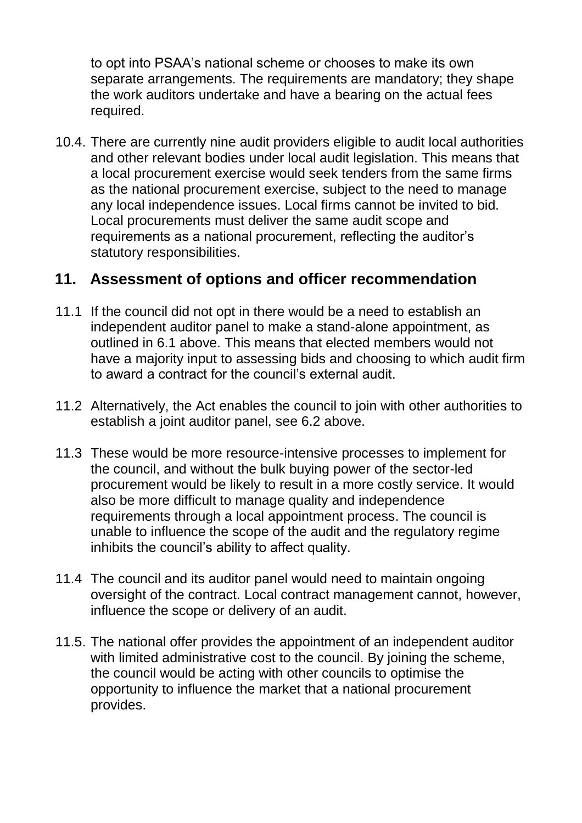to opt into PSAA's national scheme or chooses to make its own separate arrangements. The requirements are mandatory; they shape the work auditors undertake and have a bearing on the actual fees required.

10.4. There are currently nine audit providers eligible to audit local authorities and other relevant bodies under local audit legislation. This means that a local procurement exercise would seek tenders from the same firms as the national procurement exercise, subject to the need to manage any local independence issues. Local firms cannot be invited to bid. Local procurements must deliver the same audit scope and requirements as a national procurement, reflecting the auditor's statutory responsibilities.

#### **11. Assessment of options and officer recommendation**

- 11.1 If the council did not opt in there would be a need to establish an independent auditor panel to make a stand-alone appointment, as outlined in 6.1 above. This means that elected members would not have a majority input to assessing bids and choosing to which audit firm to award a contract for the council's external audit.
- 11.2 Alternatively, the Act enables the council to join with other authorities to establish a joint auditor panel, see 6.2 above.
- 11.3 These would be more resource-intensive processes to implement for the council, and without the bulk buying power of the sector-led procurement would be likely to result in a more costly service. It would also be more difficult to manage quality and independence requirements through a local appointment process. The council is unable to influence the scope of the audit and the regulatory regime inhibits the council's ability to affect quality.
- 11.4 The council and its auditor panel would need to maintain ongoing oversight of the contract. Local contract management cannot, however, influence the scope or delivery of an audit.
- 11.5. The national offer provides the appointment of an independent auditor with limited administrative cost to the council. By joining the scheme, the council would be acting with other councils to optimise the opportunity to influence the market that a national procurement provides.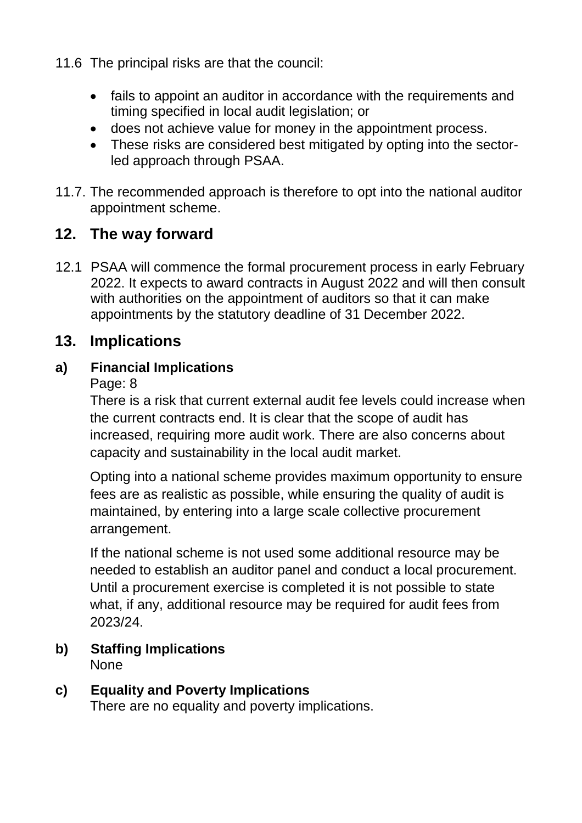- 11.6 The principal risks are that the council:
	- fails to appoint an auditor in accordance with the requirements and timing specified in local audit legislation; or
	- does not achieve value for money in the appointment process.
	- These risks are considered best mitigated by opting into the sectorled approach through PSAA.
- 11.7. The recommended approach is therefore to opt into the national auditor appointment scheme.

### **12. The way forward**

12.1 PSAA will commence the formal procurement process in early February 2022. It expects to award contracts in August 2022 and will then consult with authorities on the appointment of auditors so that it can make appointments by the statutory deadline of 31 December 2022.

#### **13. Implications**

#### **a) Financial Implications**

Page: 8

There is a risk that current external audit fee levels could increase when the current contracts end. It is clear that the scope of audit has increased, requiring more audit work. There are also concerns about capacity and sustainability in the local audit market.

Opting into a national scheme provides maximum opportunity to ensure fees are as realistic as possible, while ensuring the quality of audit is maintained, by entering into a large scale collective procurement arrangement.

If the national scheme is not used some additional resource may be needed to establish an auditor panel and conduct a local procurement. Until a procurement exercise is completed it is not possible to state what, if any, additional resource may be required for audit fees from 2023/24.

- **b) Staffing Implications** None
- **c) Equality and Poverty Implications** There are no equality and poverty implications.